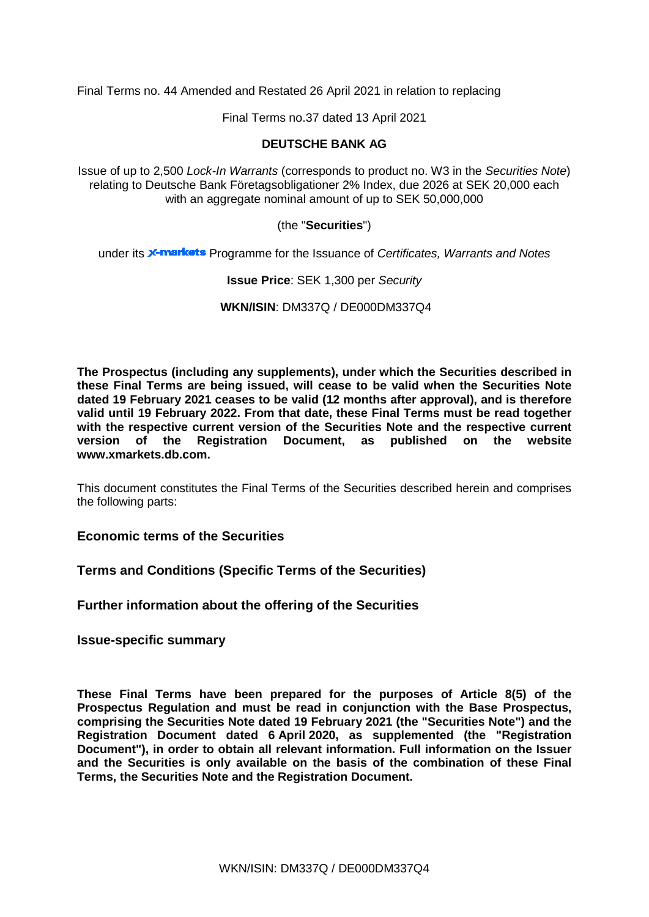Final Terms no. 44 Amended and Restated 26 April 2021 in relation to replacing

Final Terms no.37 dated 13 April 2021

## **DEUTSCHE BANK AG**

Issue of up to 2,500 *Lock-In Warrants* (corresponds to product no. W3 in the *Securities Note*) relating to Deutsche Bank Företagsobligationer 2% Index, due 2026 at SEK 20,000 each with an aggregate nominal amount of up to SEK 50,000,000

(the "**Securities**")

under its **X-markets** Programme for the Issuance of *Certificates, Warrants and Notes* 

## **Issue Price**: SEK 1,300 per *Security*

**WKN/ISIN**: DM337Q / DE000DM337Q4

**The Prospectus (including any supplements), under which the Securities described in these Final Terms are being issued, will cease to be valid when the Securities Note dated 19 February 2021 ceases to be valid (12 months after approval), and is therefore valid until 19 February 2022. From that date, these Final Terms must be read together**  with the respective current version of the Securities Note and the respective current version of the Registration Document, as published on the website **Registration Document, as published on the website www.xmarkets.db.com.**

This document constitutes the Final Terms of the Securities described herein and comprises the following parts:

**Economic terms of the Securities**

**Terms and Conditions (Specific Terms of the Securities)**

**Further information about the offering of the Securities**

**Issue-specific summary**

**These Final Terms have been prepared for the purposes of Article 8(5) of the Prospectus Regulation and must be read in conjunction with the Base Prospectus, comprising the Securities Note dated 19 February 2021 (the "Securities Note") and the Registration Document dated 6 April 2020, as supplemented (the "Registration Document"), in order to obtain all relevant information. Full information on the Issuer and the Securities is only available on the basis of the combination of these Final Terms, the Securities Note and the Registration Document.**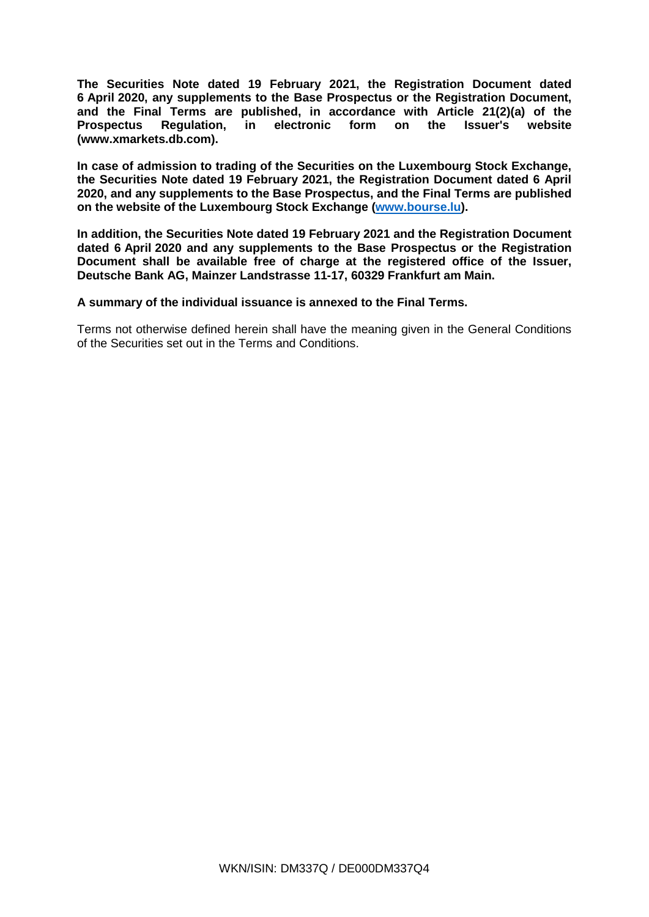**The Securities Note dated 19 February 2021, the Registration Document dated 6 April 2020, any supplements to the Base Prospectus or the Registration Document, and the Final Terms are published, in accordance with Article 21(2)(a) of the Prospectus Regulation, in electronic form on the Issuer's website [\(www.xmarkets.db.com\)](http://www.xmarkets.db.com/).**

**In case of admission to trading of the Securities on the Luxembourg Stock Exchange, the Securities Note dated 19 February 2021, the Registration Document dated 6 April 2020, and any supplements to the Base Prospectus, and the Final Terms are published on the website of the Luxembourg Stock Exchange [\(www.bourse.lu\)](http://www.bourse.lu/).**

**In addition, the Securities Note dated 19 February 2021 and the Registration Document dated 6 April 2020 and any supplements to the Base Prospectus or the Registration Document shall be available free of charge at the registered office of the Issuer, Deutsche Bank AG, Mainzer Landstrasse 11-17, 60329 Frankfurt am Main.**

**A summary of the individual issuance is annexed to the Final Terms.**

Terms not otherwise defined herein shall have the meaning given in the General Conditions of the Securities set out in the Terms and Conditions.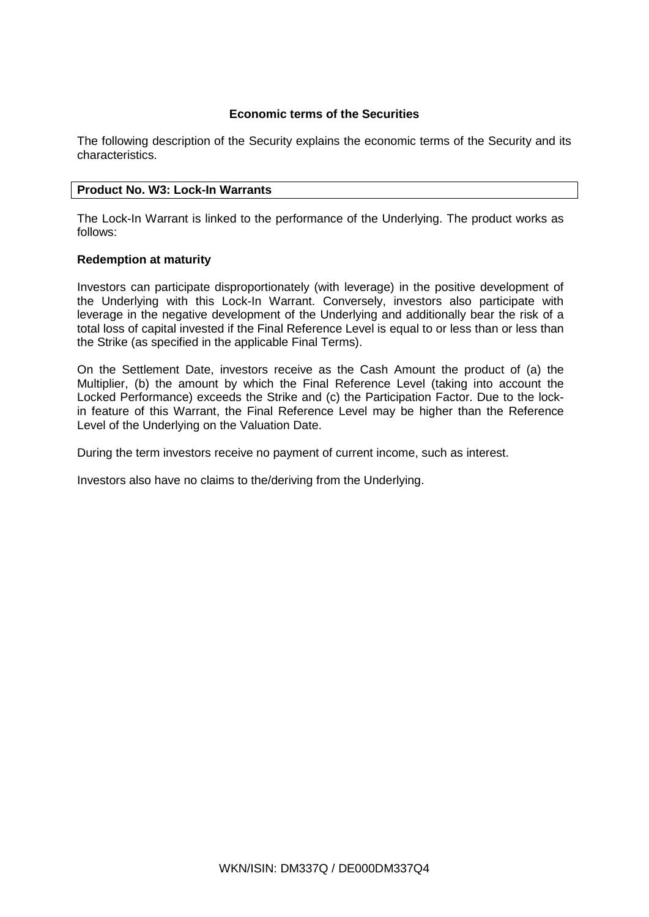## **Economic terms of the Securities**

The following description of the Security explains the economic terms of the Security and its characteristics.

## **Product No. W3: Lock-In Warrants**

The Lock-In Warrant is linked to the performance of the Underlying. The product works as follows:

## **Redemption at maturity**

Investors can participate disproportionately (with leverage) in the positive development of the Underlying with this Lock-In Warrant. Conversely, investors also participate with leverage in the negative development of the Underlying and additionally bear the risk of a total loss of capital invested if the Final Reference Level is equal to or less than or less than the Strike (as specified in the applicable Final Terms).

On the Settlement Date, investors receive as the Cash Amount the product of (a) the Multiplier, (b) the amount by which the Final Reference Level (taking into account the Locked Performance) exceeds the Strike and (c) the Participation Factor. Due to the lockin feature of this Warrant, the Final Reference Level may be higher than the Reference Level of the Underlying on the Valuation Date.

During the term investors receive no payment of current income, such as interest.

Investors also have no claims to the/deriving from the Underlying.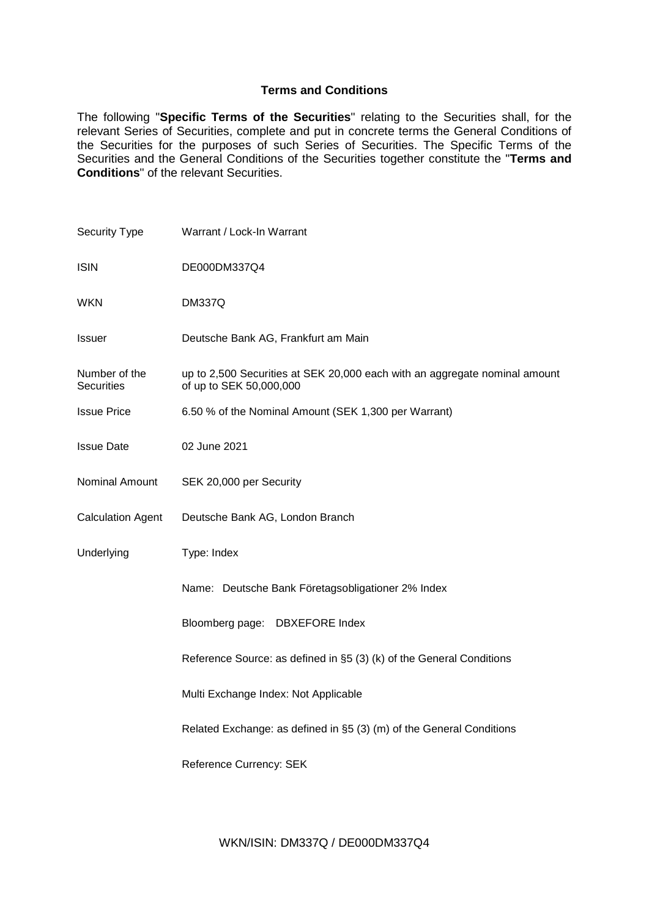## **Terms and Conditions**

The following "**Specific Terms of the Securities**" relating to the Securities shall, for the relevant Series of Securities, complete and put in concrete terms the General Conditions of the Securities for the purposes of such Series of Securities. The Specific Terms of the Securities and the General Conditions of the Securities together constitute the "**Terms and Conditions**" of the relevant Securities.

| Security Type                      | Warrant / Lock-In Warrant                                                                             |  |
|------------------------------------|-------------------------------------------------------------------------------------------------------|--|
| <b>ISIN</b>                        | DE000DM337Q4                                                                                          |  |
| <b>WKN</b>                         | <b>DM337Q</b>                                                                                         |  |
| <b>Issuer</b>                      | Deutsche Bank AG, Frankfurt am Main                                                                   |  |
| Number of the<br><b>Securities</b> | up to 2,500 Securities at SEK 20,000 each with an aggregate nominal amount<br>of up to SEK 50,000,000 |  |
| <b>Issue Price</b>                 | 6.50 % of the Nominal Amount (SEK 1,300 per Warrant)                                                  |  |
| <b>Issue Date</b>                  | 02 June 2021                                                                                          |  |
| Nominal Amount                     | SEK 20,000 per Security                                                                               |  |
| <b>Calculation Agent</b>           | Deutsche Bank AG, London Branch                                                                       |  |
| Underlying                         | Type: Index                                                                                           |  |
|                                    | Name: Deutsche Bank Företagsobligationer 2% Index                                                     |  |
|                                    | Bloomberg page: DBXEFORE Index                                                                        |  |
|                                    | Reference Source: as defined in §5 (3) (k) of the General Conditions                                  |  |
|                                    | Multi Exchange Index: Not Applicable                                                                  |  |
|                                    | Related Exchange: as defined in §5 (3) (m) of the General Conditions                                  |  |
|                                    | Reference Currency: SEK                                                                               |  |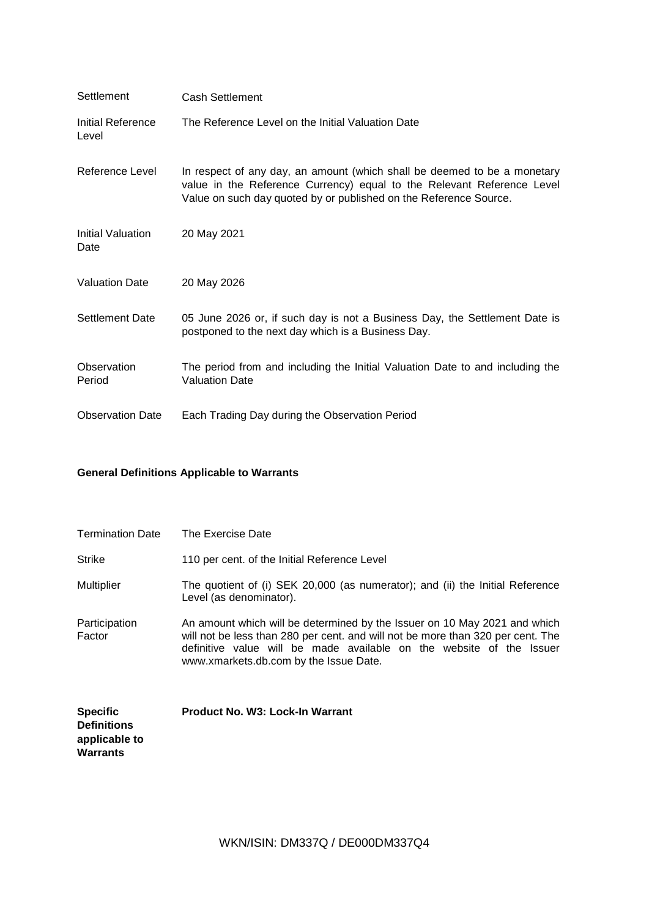| Settlement                 | <b>Cash Settlement</b>                                                                                                                                                                                                  |
|----------------------------|-------------------------------------------------------------------------------------------------------------------------------------------------------------------------------------------------------------------------|
| Initial Reference<br>Level | The Reference Level on the Initial Valuation Date                                                                                                                                                                       |
| Reference Level            | In respect of any day, an amount (which shall be deemed to be a monetary<br>value in the Reference Currency) equal to the Relevant Reference Level<br>Value on such day quoted by or published on the Reference Source. |
| Initial Valuation<br>Date  | 20 May 2021                                                                                                                                                                                                             |
| <b>Valuation Date</b>      | 20 May 2026                                                                                                                                                                                                             |
| <b>Settlement Date</b>     | 05 June 2026 or, if such day is not a Business Day, the Settlement Date is<br>postponed to the next day which is a Business Day.                                                                                        |
| Observation<br>Period      | The period from and including the Initial Valuation Date to and including the<br><b>Valuation Date</b>                                                                                                                  |
| <b>Observation Date</b>    | Each Trading Day during the Observation Period                                                                                                                                                                          |

# **General Definitions Applicable to Warrants**

| <b>Termination Date</b> | The Exercise Date                                                                                                                                                                                                                                                              |
|-------------------------|--------------------------------------------------------------------------------------------------------------------------------------------------------------------------------------------------------------------------------------------------------------------------------|
| <b>Strike</b>           | 110 per cent. of the Initial Reference Level                                                                                                                                                                                                                                   |
| <b>Multiplier</b>       | The quotient of (i) SEK 20,000 (as numerator); and (ii) the Initial Reference<br>Level (as denominator).                                                                                                                                                                       |
| Participation<br>Factor | An amount which will be determined by the Issuer on 10 May 2021 and which<br>will not be less than 280 per cent. and will not be more than 320 per cent. The<br>definitive value will be made available on the website of the Issuer<br>www.xmarkets.db.com by the Issue Date. |

| <b>Specific</b>    | <b>Product No. W3: Lock-In Warrant</b> |
|--------------------|----------------------------------------|
| <b>Definitions</b> |                                        |
| applicable to      |                                        |
| Warrants           |                                        |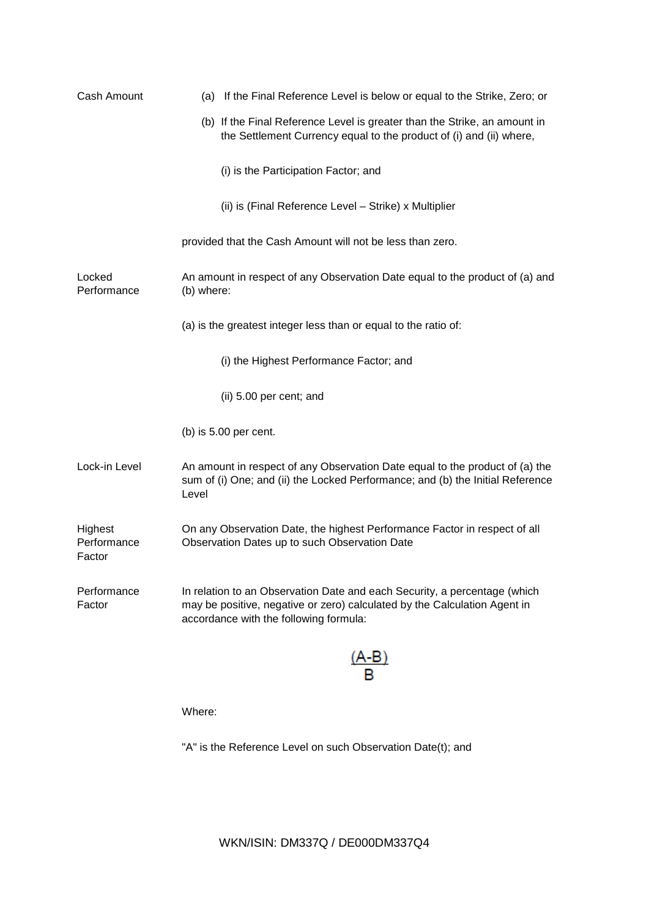| Cash Amount                      | (a) If the Final Reference Level is below or equal to the Strike, Zero; or                                                                                                                       |
|----------------------------------|--------------------------------------------------------------------------------------------------------------------------------------------------------------------------------------------------|
|                                  | (b) If the Final Reference Level is greater than the Strike, an amount in<br>the Settlement Currency equal to the product of (i) and (ii) where,                                                 |
|                                  | (i) is the Participation Factor; and                                                                                                                                                             |
|                                  | (ii) is (Final Reference Level - Strike) x Multiplier                                                                                                                                            |
|                                  | provided that the Cash Amount will not be less than zero.                                                                                                                                        |
| Locked<br>Performance            | An amount in respect of any Observation Date equal to the product of (a) and<br>(b) where:                                                                                                       |
|                                  | (a) is the greatest integer less than or equal to the ratio of:                                                                                                                                  |
|                                  | (i) the Highest Performance Factor; and                                                                                                                                                          |
|                                  | (ii) 5.00 per cent; and                                                                                                                                                                          |
|                                  | (b) is $5.00$ per cent.                                                                                                                                                                          |
| Lock-in Level                    | An amount in respect of any Observation Date equal to the product of (a) the<br>sum of (i) One; and (ii) the Locked Performance; and (b) the Initial Reference<br>Level                          |
| Highest<br>Performance<br>Factor | On any Observation Date, the highest Performance Factor in respect of all<br>Observation Dates up to such Observation Date                                                                       |
| Performance<br>Factor            | In relation to an Observation Date and each Security, a percentage (which<br>may be positive, negative or zero) calculated by the Calculation Agent in<br>accordance with the following formula: |
|                                  | A-B                                                                                                                                                                                              |

Where:

"A" is the Reference Level on such Observation Date(t); and

WKN/ISIN: DM337Q / DE000DM337Q4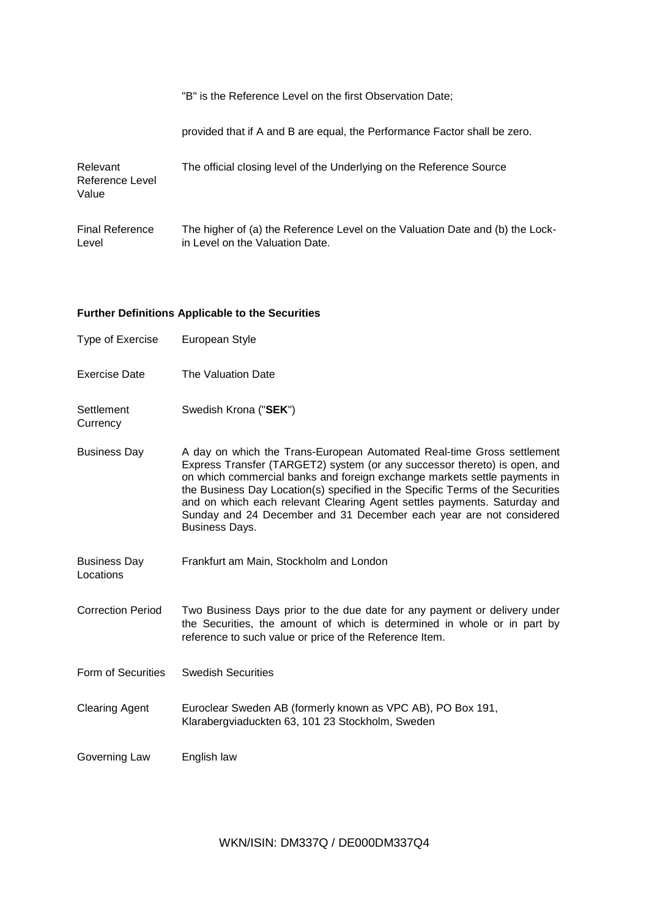|  | "B" is the Reference Level on the first Observation Date; |
|--|-----------------------------------------------------------|
|--|-----------------------------------------------------------|

provided that if A and B are equal, the Performance Factor shall be zero.

| Relevant<br>Reference Level<br>Value | The official closing level of the Underlying on the Reference Source          |
|--------------------------------------|-------------------------------------------------------------------------------|
| <b>Final Reference</b>               | The higher of (a) the Reference Level on the Valuation Date and (b) the Lock- |
| Level                                | in Level on the Valuation Date.                                               |

## **Further Definitions Applicable to the Securities**

| Type of Exercise       | European Style                                                                                                                                                                                                                                                                                                                                                                                                                                                                          |
|------------------------|-----------------------------------------------------------------------------------------------------------------------------------------------------------------------------------------------------------------------------------------------------------------------------------------------------------------------------------------------------------------------------------------------------------------------------------------------------------------------------------------|
| <b>Exercise Date</b>   | The Valuation Date                                                                                                                                                                                                                                                                                                                                                                                                                                                                      |
| Settlement<br>Currency | Swedish Krona ("SEK")                                                                                                                                                                                                                                                                                                                                                                                                                                                                   |
| <b>Business Day</b>    | A day on which the Trans-European Automated Real-time Gross settlement<br>Express Transfer (TARGET2) system (or any successor thereto) is open, and<br>on which commercial banks and foreign exchange markets settle payments in<br>the Business Day Location(s) specified in the Specific Terms of the Securities<br>and on which each relevant Clearing Agent settles payments. Saturday and<br>Sunday and 24 December and 31 December each year are not considered<br>Business Days. |

Business Day Frankfurt am Main, Stockholm and London

Correction Period Two Business Days prior to the due date for any payment or delivery under the Securities, the amount of which is determined in whole or in part by reference to such value or price of the Reference Item.

- Form of Securities Swedish Securities
- Clearing Agent Euroclear Sweden AB (formerly known as VPC AB), PO Box 191, Klarabergviaduckten 63, 101 23 Stockholm, Sweden
- Governing Law English law

Locations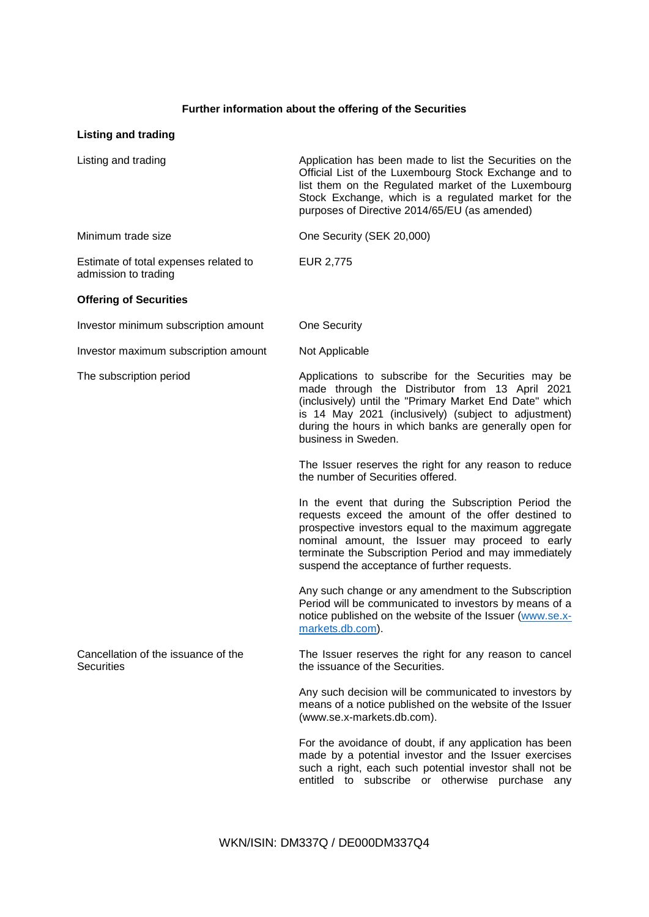# **Further information about the offering of the Securities**

| <b>Listing and trading</b>                                    |                                                                                                                                                                                                                                                                                                                                |
|---------------------------------------------------------------|--------------------------------------------------------------------------------------------------------------------------------------------------------------------------------------------------------------------------------------------------------------------------------------------------------------------------------|
| Listing and trading                                           | Application has been made to list the Securities on the<br>Official List of the Luxembourg Stock Exchange and to<br>list them on the Regulated market of the Luxembourg<br>Stock Exchange, which is a regulated market for the<br>purposes of Directive 2014/65/EU (as amended)                                                |
| Minimum trade size                                            | One Security (SEK 20,000)                                                                                                                                                                                                                                                                                                      |
| Estimate of total expenses related to<br>admission to trading | EUR 2,775                                                                                                                                                                                                                                                                                                                      |
| <b>Offering of Securities</b>                                 |                                                                                                                                                                                                                                                                                                                                |
| Investor minimum subscription amount                          | <b>One Security</b>                                                                                                                                                                                                                                                                                                            |
| Investor maximum subscription amount                          | Not Applicable                                                                                                                                                                                                                                                                                                                 |
| The subscription period                                       | Applications to subscribe for the Securities may be<br>made through the Distributor from 13 April 2021<br>(inclusively) until the "Primary Market End Date" which<br>is 14 May 2021 (inclusively) (subject to adjustment)<br>during the hours in which banks are generally open for<br>business in Sweden.                     |
|                                                               | The Issuer reserves the right for any reason to reduce<br>the number of Securities offered.                                                                                                                                                                                                                                    |
|                                                               | In the event that during the Subscription Period the<br>requests exceed the amount of the offer destined to<br>prospective investors equal to the maximum aggregate<br>nominal amount, the Issuer may proceed to early<br>terminate the Subscription Period and may immediately<br>suspend the acceptance of further requests. |
|                                                               | Any such change or any amendment to the Subscription<br>Period will be communicated to investors by means of a<br>notice published on the website of the Issuer (www.se.x-<br>markets.db.com).                                                                                                                                 |
| Cancellation of the issuance of the<br><b>Securities</b>      | The Issuer reserves the right for any reason to cancel<br>the issuance of the Securities.                                                                                                                                                                                                                                      |
|                                                               | Any such decision will be communicated to investors by<br>means of a notice published on the website of the Issuer<br>(www.se.x-markets.db.com).                                                                                                                                                                               |
|                                                               | For the avoidance of doubt, if any application has been<br>made by a potential investor and the Issuer exercises<br>such a right, each such potential investor shall not be<br>entitled to subscribe or otherwise purchase any                                                                                                 |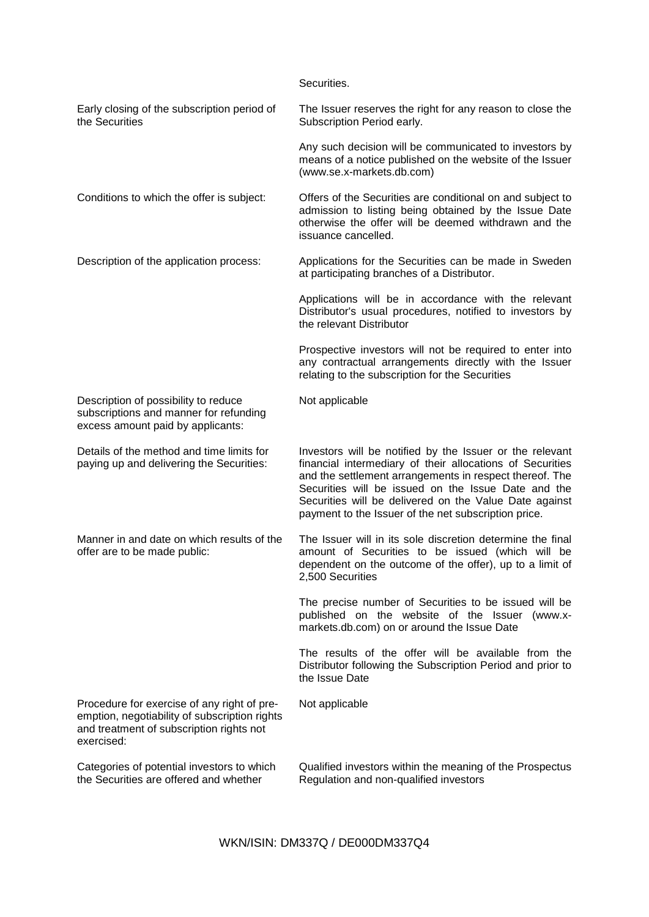|                                                                                                                                                        | Securities.                                                                                                                                                                                                                                                                                                                                               |
|--------------------------------------------------------------------------------------------------------------------------------------------------------|-----------------------------------------------------------------------------------------------------------------------------------------------------------------------------------------------------------------------------------------------------------------------------------------------------------------------------------------------------------|
| Early closing of the subscription period of<br>the Securities                                                                                          | The Issuer reserves the right for any reason to close the<br>Subscription Period early.                                                                                                                                                                                                                                                                   |
|                                                                                                                                                        | Any such decision will be communicated to investors by<br>means of a notice published on the website of the Issuer<br>(www.se.x-markets.db.com)                                                                                                                                                                                                           |
| Conditions to which the offer is subject:                                                                                                              | Offers of the Securities are conditional on and subject to<br>admission to listing being obtained by the Issue Date<br>otherwise the offer will be deemed withdrawn and the<br>issuance cancelled.                                                                                                                                                        |
| Description of the application process:                                                                                                                | Applications for the Securities can be made in Sweden<br>at participating branches of a Distributor.                                                                                                                                                                                                                                                      |
|                                                                                                                                                        | Applications will be in accordance with the relevant<br>Distributor's usual procedures, notified to investors by<br>the relevant Distributor                                                                                                                                                                                                              |
|                                                                                                                                                        | Prospective investors will not be required to enter into<br>any contractual arrangements directly with the Issuer<br>relating to the subscription for the Securities                                                                                                                                                                                      |
| Description of possibility to reduce<br>subscriptions and manner for refunding<br>excess amount paid by applicants:                                    | Not applicable                                                                                                                                                                                                                                                                                                                                            |
| Details of the method and time limits for<br>paying up and delivering the Securities:                                                                  | Investors will be notified by the Issuer or the relevant<br>financial intermediary of their allocations of Securities<br>and the settlement arrangements in respect thereof. The<br>Securities will be issued on the Issue Date and the<br>Securities will be delivered on the Value Date against<br>payment to the Issuer of the net subscription price. |
| Manner in and date on which results of the<br>offer are to be made public:                                                                             | The Issuer will in its sole discretion determine the final<br>amount of Securities to be issued (which will be<br>dependent on the outcome of the offer), up to a limit of<br>2,500 Securities                                                                                                                                                            |
|                                                                                                                                                        | The precise number of Securities to be issued will be<br>published on the website of the Issuer (www.x-<br>markets.db.com) on or around the Issue Date                                                                                                                                                                                                    |
|                                                                                                                                                        | The results of the offer will be available from the<br>Distributor following the Subscription Period and prior to<br>the Issue Date                                                                                                                                                                                                                       |
| Procedure for exercise of any right of pre-<br>emption, negotiability of subscription rights<br>and treatment of subscription rights not<br>exercised: | Not applicable                                                                                                                                                                                                                                                                                                                                            |
| Categories of potential investors to which<br>the Securities are offered and whether                                                                   | Qualified investors within the meaning of the Prospectus<br>Regulation and non-qualified investors                                                                                                                                                                                                                                                        |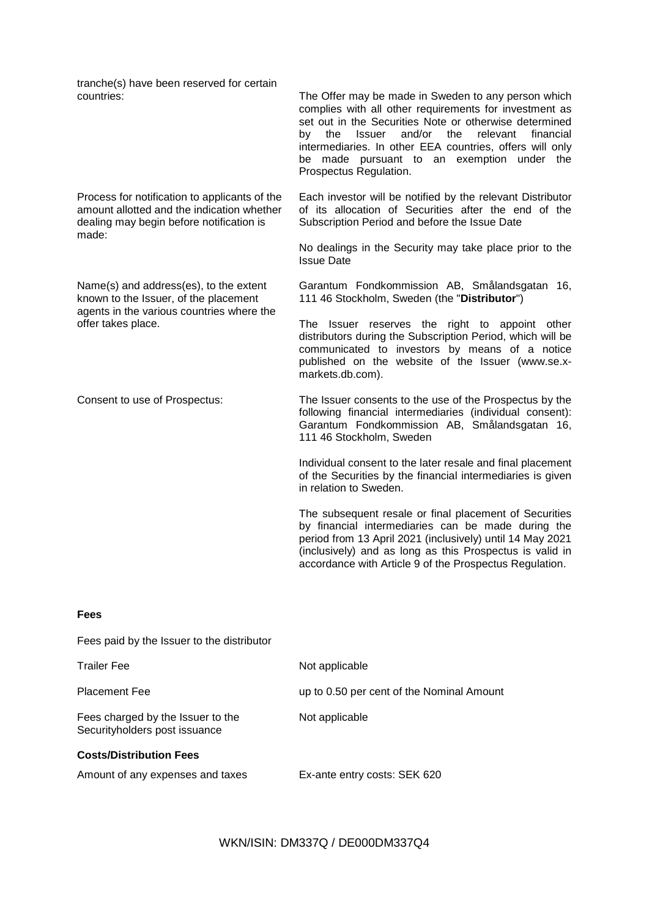tranche(s) have been reserved for certain

Process for notification to applicants of the amount allotted and the indication whether dealing may begin before notification is made:

Name(s) and address(es), to the extent known to the Issuer, of the placement agents in the various countries where the offer takes place.

The Offer may be made in Sweden to any person which complies with all other requirements for investment as set out in the Securities Note or otherwise determined by the Issuer and/or the relevant financial intermediaries. In other EEA countries, offers will only be made pursuant to an exemption under the Prospectus Regulation.

Each investor will be notified by the relevant Distributor of its allocation of Securities after the end of the Subscription Period and before the Issue Date

No dealings in the Security may take place prior to the Issue Date

Garantum Fondkommission AB, Smålandsgatan 16, 111 46 Stockholm, Sweden (the "**Distributor**")

The Issuer reserves the right to appoint other distributors during the Subscription Period, which will be communicated to investors by means of a notice published on the website of the Issuer (www.se.xmarkets.db.com).

Consent to use of Prospectus: The Issuer consents to the use of the Prospectus by the following financial intermediaries (individual consent): Garantum Fondkommission AB, Smålandsgatan 16, 111 46 Stockholm, Sweden

> Individual consent to the later resale and final placement of the Securities by the financial intermediaries is given in relation to Sweden.

> The subsequent resale or final placement of Securities by financial intermediaries can be made during the period from 13 April 2021 (inclusively) until 14 May 2021 (inclusively) and as long as this Prospectus is valid in accordance with Article 9 of the Prospectus Regulation.

## **Fees**

Fees paid by the Issuer to the distributor

| <b>Trailer Fee</b>                                                 | Not applicable                            |
|--------------------------------------------------------------------|-------------------------------------------|
| <b>Placement Fee</b>                                               | up to 0.50 per cent of the Nominal Amount |
| Fees charged by the Issuer to the<br>Securityholders post issuance | Not applicable                            |
| <b>Costs/Distribution Fees</b>                                     |                                           |
| Amount of any expenses and taxes                                   | Ex-ante entry costs: SEK 620              |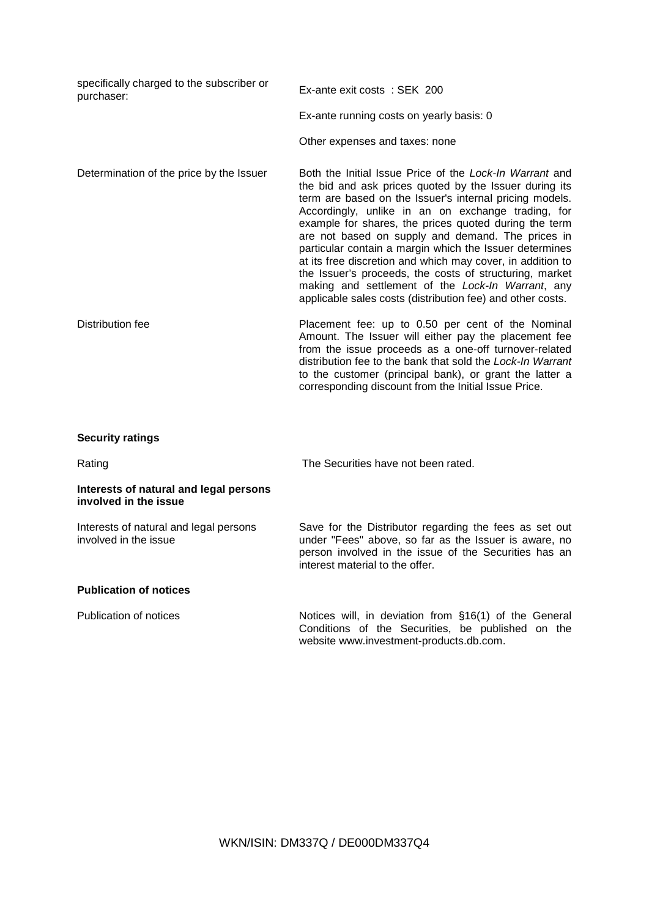| specifically charged to the subscriber or<br>purchaser: | Ex-ante exit costs: SEK 200                                                                                                                                                                                                                                                                                                                                                                                                                                                                                                                                                                                                                             |
|---------------------------------------------------------|---------------------------------------------------------------------------------------------------------------------------------------------------------------------------------------------------------------------------------------------------------------------------------------------------------------------------------------------------------------------------------------------------------------------------------------------------------------------------------------------------------------------------------------------------------------------------------------------------------------------------------------------------------|
|                                                         | Ex-ante running costs on yearly basis: 0                                                                                                                                                                                                                                                                                                                                                                                                                                                                                                                                                                                                                |
|                                                         | Other expenses and taxes: none                                                                                                                                                                                                                                                                                                                                                                                                                                                                                                                                                                                                                          |
| Determination of the price by the Issuer                | Both the Initial Issue Price of the Lock-In Warrant and<br>the bid and ask prices quoted by the Issuer during its<br>term are based on the Issuer's internal pricing models.<br>Accordingly, unlike in an on exchange trading, for<br>example for shares, the prices quoted during the term<br>are not based on supply and demand. The prices in<br>particular contain a margin which the Issuer determines<br>at its free discretion and which may cover, in addition to<br>the Issuer's proceeds, the costs of structuring, market<br>making and settlement of the Lock-In Warrant, any<br>applicable sales costs (distribution fee) and other costs. |
| Distribution fee                                        | Placement fee: up to 0.50 per cent of the Nominal<br>Amount. The Issuer will either pay the placement fee<br>from the issue proceeds as a one-off turnover-related<br>distribution fee to the bank that sold the Lock-In Warrant<br>to the customer (principal bank), or grant the latter a<br>corresponding discount from the Initial Issue Price.                                                                                                                                                                                                                                                                                                     |

## **Security ratings**

Rating Rating Rating Rating Reserves The Securities have not been rated.

## **Interests of natural and legal persons involved in the issue**

Interests of natural and legal persons involved in the issue

Save for the Distributor regarding the fees as set out under "Fees" above, so far as the Issuer is aware, no person involved in the issue of the Securities has an interest material to the offer.

## **Publication of notices**

Publication of notices **Notices** Notices will, in deviation from §16(1) of the General Conditions of the Securities, be published on the website www.investment-products.db.com.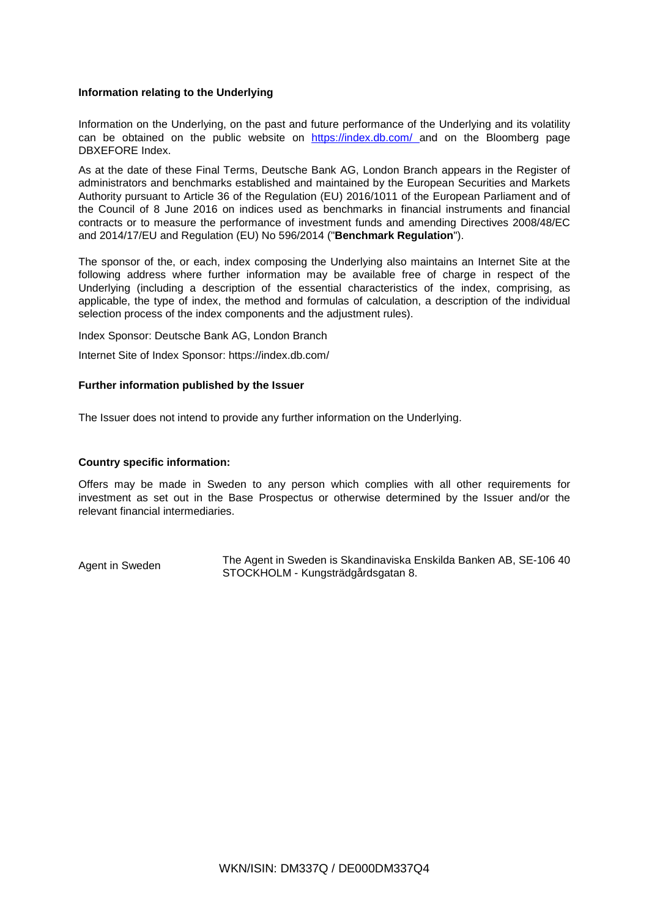## **Information relating to the Underlying**

Information on the Underlying, on the past and future performance of the Underlying and its volatility can be obtained on the public website on https://index.db.com/ and on the Bloomberg page DBXEFORE Index.

As at the date of these Final Terms, Deutsche Bank AG, London Branch appears in the Register of administrators and benchmarks established and maintained by the European Securities and Markets Authority pursuant to Article 36 of the Regulation (EU) 2016/1011 of the European Parliament and of the Council of 8 June 2016 on indices used as benchmarks in financial instruments and financial contracts or to measure the performance of investment funds and amending Directives 2008/48/EC and 2014/17/EU and Regulation (EU) No 596/2014 ("**Benchmark Regulation**").

The sponsor of the, or each, index composing the Underlying also maintains an Internet Site at the following address where further information may be available free of charge in respect of the Underlying (including a description of the essential characteristics of the index, comprising, as applicable, the type of index, the method and formulas of calculation, a description of the individual selection process of the index components and the adjustment rules).

Index Sponsor: Deutsche Bank AG, London Branch

Internet Site of Index Sponsor: https://index.db.com/

## **Further information published by the Issuer**

The Issuer does not intend to provide any further information on the Underlying.

## **Country specific information:**

Offers may be made in Sweden to any person which complies with all other requirements for investment as set out in the Base Prospectus or otherwise determined by the Issuer and/or the relevant financial intermediaries.

Agent in Sweden The Agent in Sweden is Skandinaviska Enskilda Banken AB, SE-106 40 STOCKHOLM - Kungsträdgårdsgatan 8.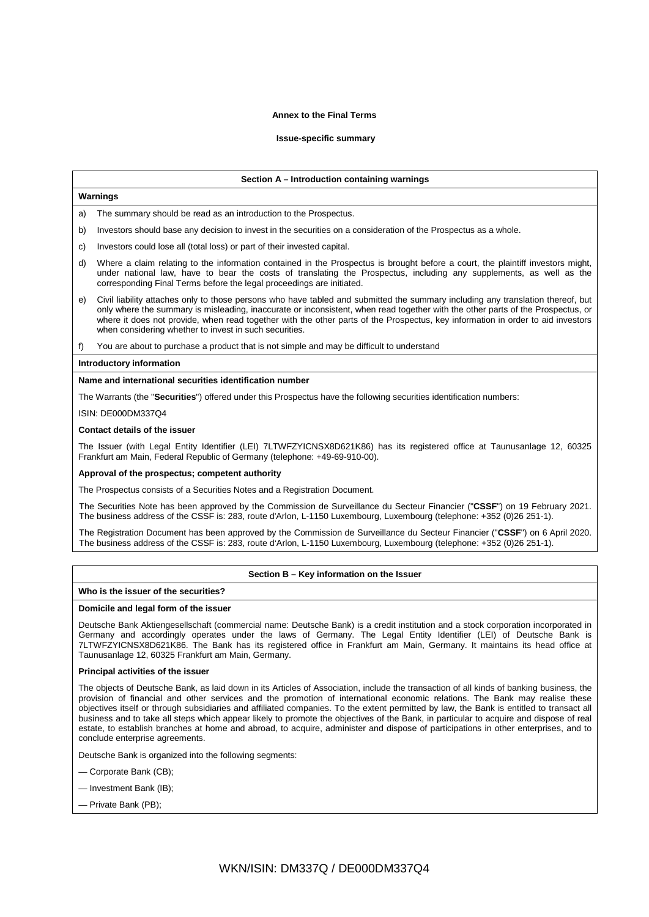## **Annex to the Final Terms**

## **Issue-specific summary**

### **Section A – Introduction containing warnings**

#### **Warnings**

a) The summary should be read as an introduction to the Prospectus.

- b) Investors should base any decision to invest in the securities on a consideration of the Prospectus as a whole.
- c) Investors could lose all (total loss) or part of their invested capital.
- d) Where a claim relating to the information contained in the Prospectus is brought before a court, the plaintiff investors might, under national law, have to bear the costs of translating the Prospectus, including any supplements, as well as the corresponding Final Terms before the legal proceedings are initiated.
- e) Civil liability attaches only to those persons who have tabled and submitted the summary including any translation thereof, but only where the summary is misleading, inaccurate or inconsistent, when read together with the other parts of the Prospectus, or where it does not provide, when read together with the other parts of the Prospectus, key information in order to aid investors when considering whether to invest in such securities.
- f) You are about to purchase a product that is not simple and may be difficult to understand

### **Introductory information**

#### **Name and international securities identification number**

The Warrants (the "**Securities**") offered under this Prospectus have the following securities identification numbers:

## ISIN: DE000DM337Q4

#### **Contact details of the issuer**

The Issuer (with Legal Entity Identifier (LEI) 7LTWFZYICNSX8D621K86) has its registered office at Taunusanlage 12, 60325 Frankfurt am Main, Federal Republic of Germany (telephone: +49-69-910-00).

## **Approval of the prospectus; competent authority**

The Prospectus consists of a Securities Notes and a Registration Document.

The Securities Note has been approved by the Commission de Surveillance du Secteur Financier ("**CSSF**") on 19 February 2021. The business address of the CSSF is: 283, route d'Arlon, L-1150 Luxembourg, Luxembourg (telephone: +352 (0)26 251-1).

The Registration Document has been approved by the Commission de Surveillance du Secteur Financier ("**CSSF**") on 6 April 2020. The business address of the CSSF is: 283, route d'Arlon, L-1150 Luxembourg, Luxembourg (telephone: +352 (0)26 251-1).

## **Section B – Key information on the Issuer**

## **Who is the issuer of the securities?**

#### **Domicile and legal form of the issuer**

Deutsche Bank Aktiengesellschaft (commercial name: Deutsche Bank) is a credit institution and a stock corporation incorporated in Germany and accordingly operates under the laws of Germany. The Legal Entity Identifier (LEI) of Deutsche Bank is 7LTWFZYICNSX8D621K86. The Bank has its registered office in Frankfurt am Main, Germany. It maintains its head office at Taunusanlage 12, 60325 Frankfurt am Main, Germany.

## **Principal activities of the issuer**

The objects of Deutsche Bank, as laid down in its Articles of Association, include the transaction of all kinds of banking business, the provision of financial and other services and the promotion of international economic relations. The Bank may realise these objectives itself or through subsidiaries and affiliated companies. To the extent permitted by law, the Bank is entitled to transact all business and to take all steps which appear likely to promote the objectives of the Bank, in particular to acquire and dispose of real estate, to establish branches at home and abroad, to acquire, administer and dispose of participations in other enterprises, and to conclude enterprise agreements.

Deutsche Bank is organized into the following segments:

- Corporate Bank (CB);
- Investment Bank (IB);
- Private Bank (PB);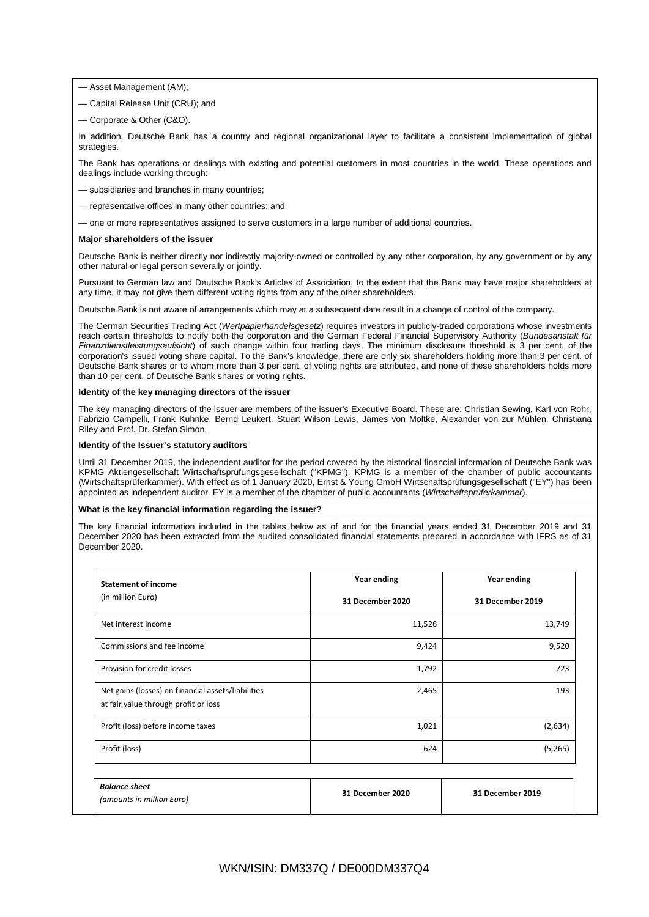- Asset Management (AM);
- Capital Release Unit (CRU); and
- Corporate & Other (C&O).

In addition, Deutsche Bank has a country and regional organizational layer to facilitate a consistent implementation of global strategies.

The Bank has operations or dealings with existing and potential customers in most countries in the world. These operations and dealings include working through:

- subsidiaries and branches in many countries;
- representative offices in many other countries; and
- one or more representatives assigned to serve customers in a large number of additional countries.

#### **Major shareholders of the issuer**

Deutsche Bank is neither directly nor indirectly majority-owned or controlled by any other corporation, by any government or by any other natural or legal person severally or jointly.

Pursuant to German law and Deutsche Bank's Articles of Association, to the extent that the Bank may have major shareholders at any time, it may not give them different voting rights from any of the other shareholders.

Deutsche Bank is not aware of arrangements which may at a subsequent date result in a change of control of the company.

The German Securities Trading Act (*Wertpapierhandelsgesetz*) requires investors in publicly-traded corporations whose investments reach certain thresholds to notify both the corporation and the German Federal Financial Supervisory Authority (*Bundesanstalt für Finanzdienstleistungsaufsicht*) of such change within four trading days. The minimum disclosure threshold is 3 per cent. of the corporation's issued voting share capital. To the Bank's knowledge, there are only six shareholders holding more than 3 per cent. of Deutsche Bank shares or to whom more than 3 per cent. of voting rights are attributed, and none of these shareholders holds more than 10 per cent. of Deutsche Bank shares or voting rights.

## **Identity of the key managing directors of the issuer**

The key managing directors of the issuer are members of the issuer's Executive Board. These are: Christian Sewing, Karl von Rohr, Fabrizio Campelli, Frank Kuhnke, Bernd Leukert, Stuart Wilson Lewis, James von Moltke, Alexander von zur Mühlen, Christiana Riley and Prof. Dr. Stefan Simon.

### **Identity of the Issuer's statutory auditors**

Until 31 December 2019, the independent auditor for the period covered by the historical financial information of Deutsche Bank was KPMG Aktiengesellschaft Wirtschaftsprüfungsgesellschaft ("KPMG"). KPMG is a member of the chamber of public accountants (Wirtschaftsprüferkammer). With effect as of 1 January 2020, Ernst & Young GmbH Wirtschaftsprüfungsgesellschaft ("EY") has been appointed as independent auditor. EY is a member of the chamber of public accountants (*Wirtschaftsprüferkammer*).

### **What is the key financial information regarding the issuer?**

The key financial information included in the tables below as of and for the financial years ended 31 December 2019 and 31 December 2020 has been extracted from the audited consolidated financial statements prepared in accordance with IFRS as of 31 December 2020.

| <b>Statement of income</b>                                                                 | Year ending      | Year ending      |
|--------------------------------------------------------------------------------------------|------------------|------------------|
| (in million Euro)                                                                          | 31 December 2020 | 31 December 2019 |
| Net interest income                                                                        | 11,526           | 13,749           |
| Commissions and fee income                                                                 | 9,424            | 9,520            |
| Provision for credit losses                                                                | 1,792            | 723              |
| Net gains (losses) on financial assets/liabilities<br>at fair value through profit or loss | 2,465            | 193              |
| Profit (loss) before income taxes                                                          | 1,021            | (2,634)          |
| Profit (loss)                                                                              | 624              | (5, 265)         |

| <b>Balance sheet</b>      | 31 December 2020 | 31 December 2019 |  |
|---------------------------|------------------|------------------|--|
| (amounts in million Euro) |                  |                  |  |
|                           |                  |                  |  |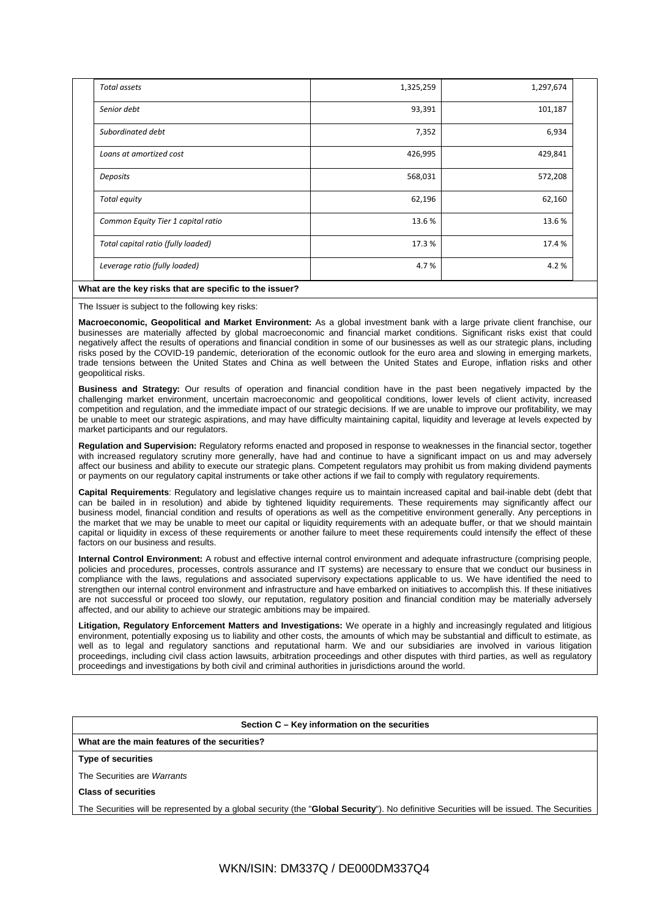| Total assets                       | 1,325,259 | 1,297,674 |  |
|------------------------------------|-----------|-----------|--|
| Senior debt                        | 93,391    | 101,187   |  |
| Subordinated debt                  | 7,352     | 6,934     |  |
| Loans at amortized cost            | 426,995   | 429,841   |  |
| Deposits                           | 568,031   | 572,208   |  |
| Total equity                       | 62,196    | 62,160    |  |
| Common Equity Tier 1 capital ratio | 13.6%     | 13.6%     |  |
| Total capital ratio (fully loaded) | 17.3%     | 17.4 %    |  |
| Leverage ratio (fully loaded)      | 4.7%      | 4.2%      |  |

## **What are the key risks that are specific to the issuer?**

The Issuer is subject to the following key risks:

**Macroeconomic, Geopolitical and Market Environment:** As a global investment bank with a large private client franchise, our businesses are materially affected by global macroeconomic and financial market conditions. Significant risks exist that could negatively affect the results of operations and financial condition in some of our businesses as well as our strategic plans, including risks posed by the COVID-19 pandemic, deterioration of the economic outlook for the euro area and slowing in emerging markets, trade tensions between the United States and China as well between the United States and Europe, inflation risks and other geopolitical risks.

**Business and Strategy:** Our results of operation and financial condition have in the past been negatively impacted by the challenging market environment, uncertain macroeconomic and geopolitical conditions, lower levels of client activity, increased competition and regulation, and the immediate impact of our strategic decisions. If we are unable to improve our profitability, we may be unable to meet our strategic aspirations, and may have difficulty maintaining capital, liquidity and leverage at levels expected by market participants and our regulators.

**Regulation and Supervision:** Regulatory reforms enacted and proposed in response to weaknesses in the financial sector, together with increased regulatory scrutiny more generally, have had and continue to have a significant impact on us and may adversely affect our business and ability to execute our strategic plans. Competent regulators may prohibit us from making dividend payments or payments on our regulatory capital instruments or take other actions if we fail to comply with regulatory requirements.

**Capital Requirements**: Regulatory and legislative changes require us to maintain increased capital and bail-inable debt (debt that can be bailed in in resolution) and abide by tightened liquidity requirements. These requirements may significantly affect our business model, financial condition and results of operations as well as the competitive environment generally. Any perceptions in the market that we may be unable to meet our capital or liquidity requirements with an adequate buffer, or that we should maintain capital or liquidity in excess of these requirements or another failure to meet these requirements could intensify the effect of these factors on our business and results.

**Internal Control Environment:** A robust and effective internal control environment and adequate infrastructure (comprising people, policies and procedures, processes, controls assurance and IT systems) are necessary to ensure that we conduct our business in compliance with the laws, regulations and associated supervisory expectations applicable to us. We have identified the need to strengthen our internal control environment and infrastructure and have embarked on initiatives to accomplish this. If these initiatives are not successful or proceed too slowly, our reputation, regulatory position and financial condition may be materially adversely affected, and our ability to achieve our strategic ambitions may be impaired.

**Litigation, Regulatory Enforcement Matters and Investigations:** We operate in a highly and increasingly regulated and litigious environment, potentially exposing us to liability and other costs, the amounts of which may be substantial and difficult to estimate, as well as to legal and regulatory sanctions and reputational harm. We and our subsidiaries are involved in various litigation proceedings, including civil class action lawsuits, arbitration proceedings and other disputes with third parties, as well as regulatory proceedings and investigations by both civil and criminal authorities in jurisdictions around the world.

**Section C – Key information on the securities**

**What are the main features of the securities?**

**Type of securities**

The Securities are *Warrants*

**Class of securities**

The Securities will be represented by a global security (the "**Global Security**"). No definitive Securities will be issued. The Securities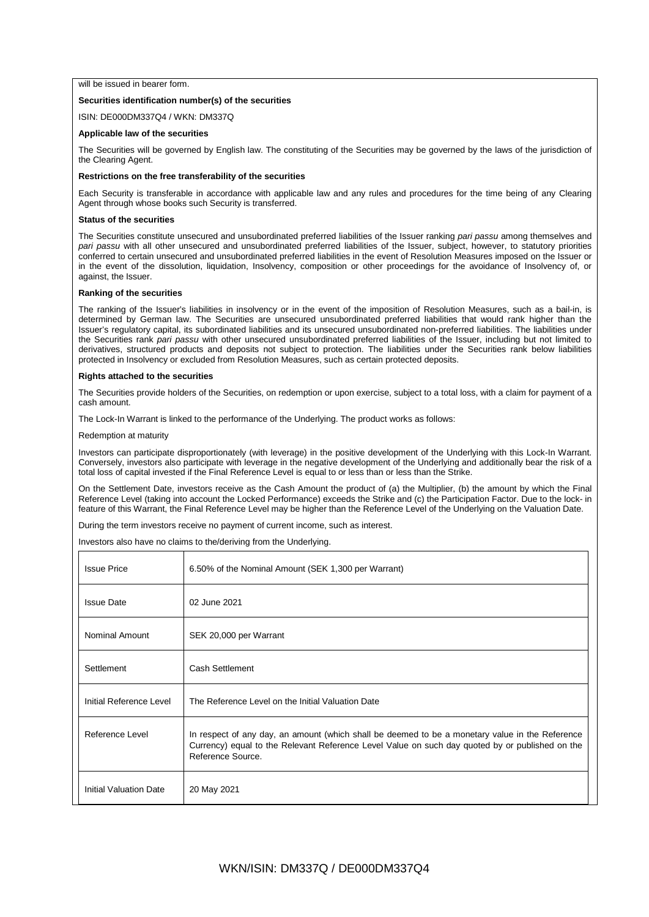## will be issued in bearer form.

## **Securities identification number(s) of the securities**

ISIN: DE000DM337Q4 / WKN: DM337Q

## **Applicable law of the securities**

The Securities will be governed by English law. The constituting of the Securities may be governed by the laws of the jurisdiction of the Clearing Agent.

## **Restrictions on the free transferability of the securities**

Each Security is transferable in accordance with applicable law and any rules and procedures for the time being of any Clearing Agent through whose books such Security is transferred.

## **Status of the securities**

The Securities constitute unsecured and unsubordinated preferred liabilities of the Issuer ranking *pari passu* among themselves and *pari passu* with all other unsecured and unsubordinated preferred liabilities of the Issuer, subject, however, to statutory priorities conferred to certain unsecured and unsubordinated preferred liabilities in the event of Resolution Measures imposed on the Issuer or in the event of the dissolution, liquidation, Insolvency, composition or other proceedings for the avoidance of Insolvency of, or against, the Issuer.

## **Ranking of the securities**

The ranking of the Issuer's liabilities in insolvency or in the event of the imposition of Resolution Measures, such as a bail-in, is determined by German law. The Securities are unsecured unsubordinated preferred liabilities that would rank higher than the Issuer's regulatory capital, its subordinated liabilities and its unsecured unsubordinated non-preferred liabilities. The liabilities under the Securities rank *pari passu* with other unsecured unsubordinated preferred liabilities of the Issuer, including but not limited to derivatives, structured products and deposits not subject to protection. The liabilities under the Securities rank below liabilities protected in Insolvency or excluded from Resolution Measures, such as certain protected deposits.

## **Rights attached to the securities**

The Securities provide holders of the Securities, on redemption or upon exercise, subject to a total loss, with a claim for payment of a cash amount.

The Lock-In Warrant is linked to the performance of the Underlying. The product works as follows:

### Redemption at maturity

Investors can participate disproportionately (with leverage) in the positive development of the Underlying with this Lock-In Warrant. Conversely, investors also participate with leverage in the negative development of the Underlying and additionally bear the risk of a total loss of capital invested if the Final Reference Level is equal to or less than or less than the Strike.

On the Settlement Date, investors receive as the Cash Amount the product of (a) the Multiplier, (b) the amount by which the Final Reference Level (taking into account the Locked Performance) exceeds the Strike and (c) the Participation Factor. Due to the lock- in feature of this Warrant, the Final Reference Level may be higher than the Reference Level of the Underlying on the Valuation Date.

During the term investors receive no payment of current income, such as interest.

Investors also have no claims to the/deriving from the Underlying.

| <b>Issue Price</b>            | 6.50% of the Nominal Amount (SEK 1,300 per Warrant)                                                                                                                                                                     |
|-------------------------------|-------------------------------------------------------------------------------------------------------------------------------------------------------------------------------------------------------------------------|
| <b>Issue Date</b>             | 02 June 2021                                                                                                                                                                                                            |
| Nominal Amount                | SEK 20,000 per Warrant                                                                                                                                                                                                  |
| Settlement                    | Cash Settlement                                                                                                                                                                                                         |
| Initial Reference Level       | The Reference Level on the Initial Valuation Date                                                                                                                                                                       |
| Reference Level               | In respect of any day, an amount (which shall be deemed to be a monetary value in the Reference<br>Currency) equal to the Relevant Reference Level Value on such day quoted by or published on the<br>Reference Source. |
| <b>Initial Valuation Date</b> | 20 May 2021                                                                                                                                                                                                             |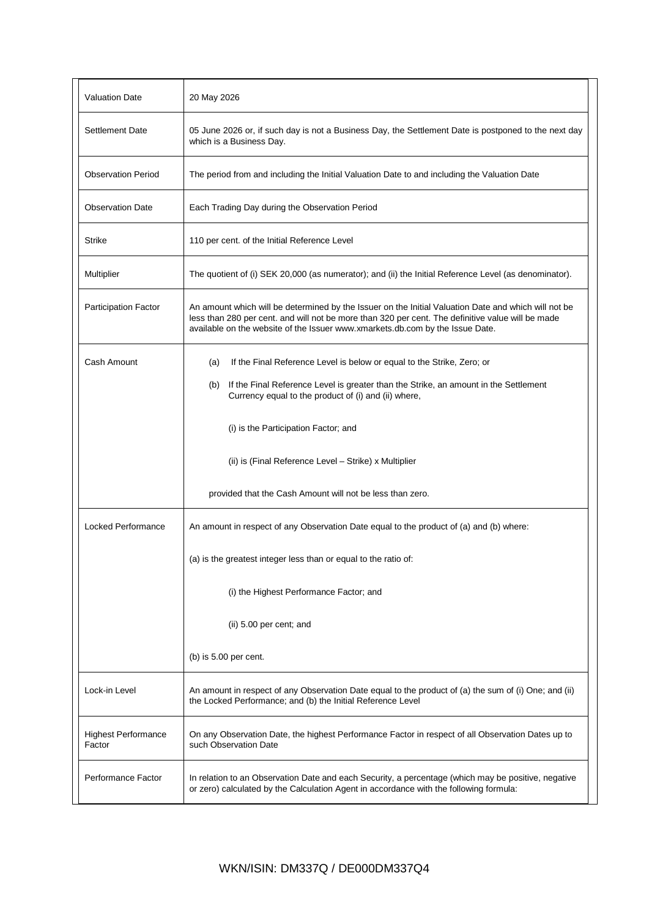| <b>Valuation Date</b>                | 20 May 2026                                                                                                                                                                                                                                                                                |
|--------------------------------------|--------------------------------------------------------------------------------------------------------------------------------------------------------------------------------------------------------------------------------------------------------------------------------------------|
| <b>Settlement Date</b>               | 05 June 2026 or, if such day is not a Business Day, the Settlement Date is postponed to the next day<br>which is a Business Day.                                                                                                                                                           |
| <b>Observation Period</b>            | The period from and including the Initial Valuation Date to and including the Valuation Date                                                                                                                                                                                               |
| <b>Observation Date</b>              | Each Trading Day during the Observation Period                                                                                                                                                                                                                                             |
| <b>Strike</b>                        | 110 per cent. of the Initial Reference Level                                                                                                                                                                                                                                               |
| Multiplier                           | The quotient of (i) SEK 20,000 (as numerator); and (ii) the Initial Reference Level (as denominator).                                                                                                                                                                                      |
| <b>Participation Factor</b>          | An amount which will be determined by the Issuer on the Initial Valuation Date and which will not be<br>less than 280 per cent. and will not be more than 320 per cent. The definitive value will be made<br>available on the website of the Issuer www.xmarkets.db.com by the Issue Date. |
| Cash Amount                          | If the Final Reference Level is below or equal to the Strike, Zero; or<br>(a)                                                                                                                                                                                                              |
|                                      | If the Final Reference Level is greater than the Strike, an amount in the Settlement<br>(b)<br>Currency equal to the product of (i) and (ii) where,                                                                                                                                        |
|                                      | (i) is the Participation Factor; and                                                                                                                                                                                                                                                       |
|                                      | (ii) is (Final Reference Level - Strike) x Multiplier                                                                                                                                                                                                                                      |
|                                      | provided that the Cash Amount will not be less than zero.                                                                                                                                                                                                                                  |
| <b>Locked Performance</b>            | An amount in respect of any Observation Date equal to the product of (a) and (b) where:                                                                                                                                                                                                    |
|                                      | (a) is the greatest integer less than or equal to the ratio of:                                                                                                                                                                                                                            |
|                                      | (i) the Highest Performance Factor; and                                                                                                                                                                                                                                                    |
|                                      | (ii) 5.00 per cent; and                                                                                                                                                                                                                                                                    |
|                                      | (b) is $5.00$ per cent.                                                                                                                                                                                                                                                                    |
| Lock-in Level                        | An amount in respect of any Observation Date equal to the product of (a) the sum of (i) One; and (ii)<br>the Locked Performance; and (b) the Initial Reference Level                                                                                                                       |
| <b>Highest Performance</b><br>Factor | On any Observation Date, the highest Performance Factor in respect of all Observation Dates up to<br>such Observation Date                                                                                                                                                                 |
| Performance Factor                   | In relation to an Observation Date and each Security, a percentage (which may be positive, negative<br>or zero) calculated by the Calculation Agent in accordance with the following formula:                                                                                              |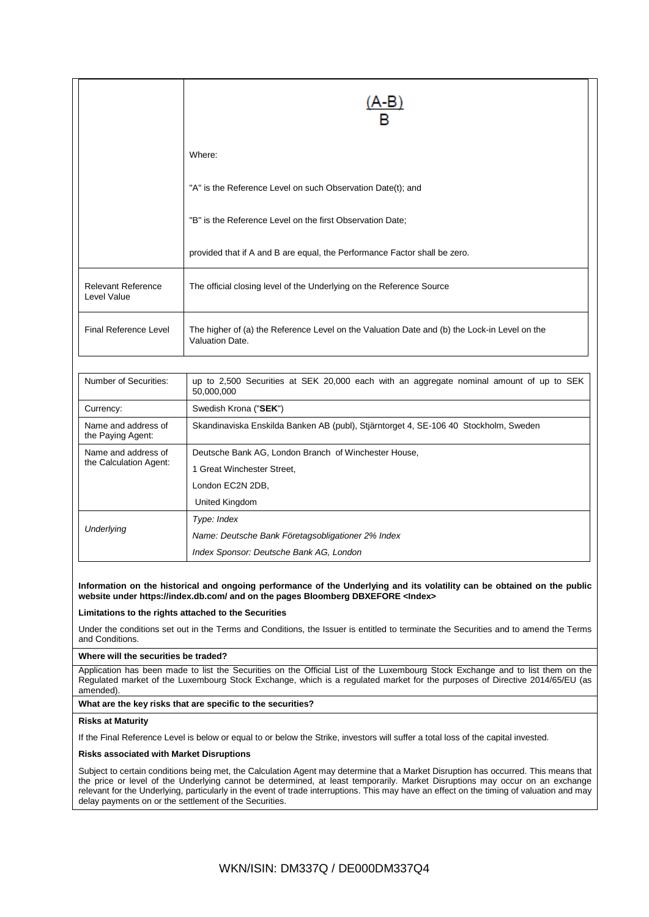|                                          | Where:                                                                                                          |  |
|------------------------------------------|-----------------------------------------------------------------------------------------------------------------|--|
|                                          | "A" is the Reference Level on such Observation Date(t); and                                                     |  |
|                                          | "B" is the Reference Level on the first Observation Date;                                                       |  |
|                                          | provided that if A and B are equal, the Performance Factor shall be zero.                                       |  |
| <b>Relevant Reference</b><br>Level Value | The official closing level of the Underlying on the Reference Source                                            |  |
| <b>Final Reference Level</b>             | The higher of (a) the Reference Level on the Valuation Date and (b) the Lock-in Level on the<br>Valuation Date. |  |
| Number of Securities:                    | up to 2,500 Securities at SEK 20,000 each with an aggregate nominal amount of up to SEK<br>50,000,000           |  |
| Currency:                                | Swedish Krona ("SEK")                                                                                           |  |
| Name and address of<br>the Paying Agent: | Skandinaviska Enskilda Banken AB (publ), Stjärntorget 4, SE-106 40 Stockholm, Sweden                            |  |
| Name and address of                      | Deutsche Bank AG, London Branch of Winchester House,                                                            |  |
| the Calculation Agent:                   | 1 Great Winchester Street,                                                                                      |  |
|                                          | London EC2N 2DB,                                                                                                |  |
|                                          | United Kingdom                                                                                                  |  |
|                                          | Type: Index                                                                                                     |  |
| Underlying                               | Name: Deutsche Bank Företagsobligationer 2% Index                                                               |  |
|                                          | Index Sponsor: Deutsche Bank AG, London                                                                         |  |

**Information on the historical and ongoing performance of the Underlying and its volatility can be obtained on the public website under https://index.db.com/ and on the pages Bloomberg DBXEFORE <Index>**

**Limitations to the rights attached to the Securities**

Under the conditions set out in the Terms and Conditions, the Issuer is entitled to terminate the Securities and to amend the Terms and Conditions.

## **Where will the securities be traded?**

Application has been made to list the Securities on the Official List of the Luxembourg Stock Exchange and to list them on the Regulated market of the Luxembourg Stock Exchange, which is a regulated market for the purposes of Directive 2014/65/EU (as amended).

## **What are the key risks that are specific to the securities?**

## **Risks at Maturity**

If the Final Reference Level is below or equal to or below the Strike, investors will suffer a total loss of the capital invested.

## **Risks associated with Market Disruptions**

Subject to certain conditions being met, the Calculation Agent may determine that a Market Disruption has occurred. This means that the price or level of the Underlying cannot be determined, at least temporarily. Market Disruptions may occur on an exchange relevant for the Underlying, particularly in the event of trade interruptions. This may have an effect on the timing of valuation and may delay payments on or the settlement of the Securities.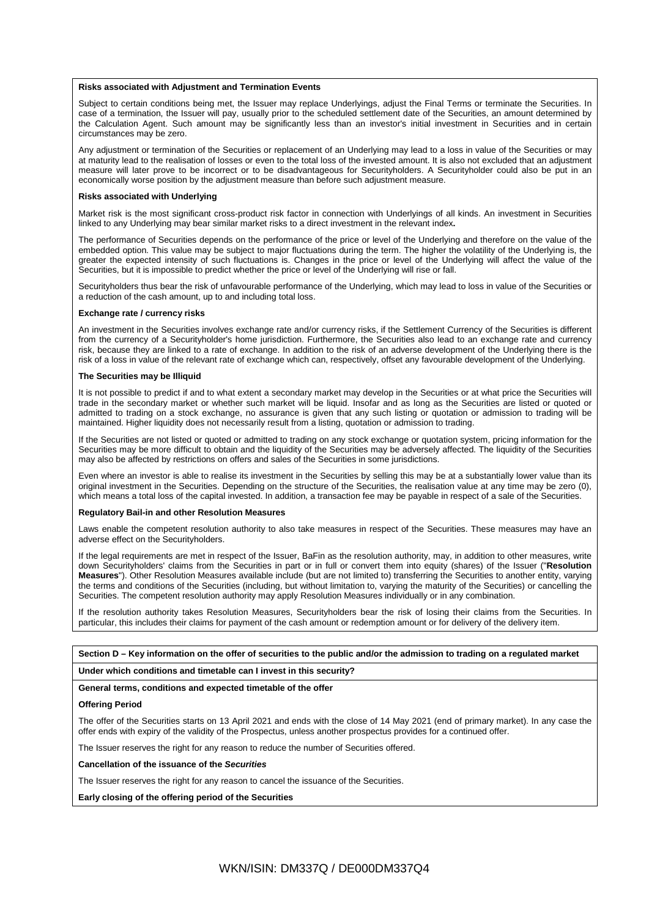#### **Risks associated with Adjustment and Termination Events**

Subject to certain conditions being met, the Issuer may replace Underlyings, adjust the Final Terms or terminate the Securities. In case of a termination, the Issuer will pay, usually prior to the scheduled settlement date of the Securities, an amount determined by the Calculation Agent. Such amount may be significantly less than an investor's initial investment in Securities and in certain circumstances may be zero.

Any adjustment or termination of the Securities or replacement of an Underlying may lead to a loss in value of the Securities or may at maturity lead to the realisation of losses or even to the total loss of the invested amount. It is also not excluded that an adjustment measure will later prove to be incorrect or to be disadvantageous for Securityholders. A Securityholder could also be put in an economically worse position by the adjustment measure than before such adjustment measure.

### **Risks associated with Underlying**

Market risk is the most significant cross-product risk factor in connection with Underlyings of all kinds. An investment in Securities linked to any Underlying may bear similar market risks to a direct investment in the relevant index**.**

The performance of Securities depends on the performance of the price or level of the Underlying and therefore on the value of the embedded option. This value may be subject to major fluctuations during the term. The higher the volatility of the Underlying is, the greater the expected intensity of such fluctuations is. Changes in the price or level of the Underlying will affect the value of the Securities, but it is impossible to predict whether the price or level of the Underlying will rise or fall.

Securityholders thus bear the risk of unfavourable performance of the Underlying, which may lead to loss in value of the Securities or a reduction of the cash amount, up to and including total loss.

#### **Exchange rate / currency risks**

An investment in the Securities involves exchange rate and/or currency risks, if the Settlement Currency of the Securities is different from the currency of a Securityholder's home jurisdiction. Furthermore, the Securities also lead to an exchange rate and currency risk, because they are linked to a rate of exchange. In addition to the risk of an adverse development of the Underlying there is the risk of a loss in value of the relevant rate of exchange which can, respectively, offset any favourable development of the Underlying.

#### **The Securities may be Illiquid**

It is not possible to predict if and to what extent a secondary market may develop in the Securities or at what price the Securities will trade in the secondary market or whether such market will be liquid. Insofar and as long as the Securities are listed or quoted or admitted to trading on a stock exchange, no assurance is given that any such listing or quotation or admission to trading will be maintained. Higher liquidity does not necessarily result from a listing, quotation or admission to trading.

If the Securities are not listed or quoted or admitted to trading on any stock exchange or quotation system, pricing information for the Securities may be more difficult to obtain and the liquidity of the Securities may be adversely affected. The liquidity of the Securities may also be affected by restrictions on offers and sales of the Securities in some jurisdictions.

Even where an investor is able to realise its investment in the Securities by selling this may be at a substantially lower value than its original investment in the Securities. Depending on the structure of the Securities, the realisation value at any time may be zero (0), which means a total loss of the capital invested. In addition, a transaction fee may be payable in respect of a sale of the Securities.

## **Regulatory Bail-in and other Resolution Measures**

Laws enable the competent resolution authority to also take measures in respect of the Securities. These measures may have an adverse effect on the Securityholders.

If the legal requirements are met in respect of the Issuer, BaFin as the resolution authority, may, in addition to other measures, write down Securityholders' claims from the Securities in part or in full or convert them into equity (shares) of the Issuer ("**Resolution Measures**"). Other Resolution Measures available include (but are not limited to) transferring the Securities to another entity, varying the terms and conditions of the Securities (including, but without limitation to, varying the maturity of the Securities) or cancelling the Securities. The competent resolution authority may apply Resolution Measures individually or in any combination.

If the resolution authority takes Resolution Measures, Securityholders bear the risk of losing their claims from the Securities. In particular, this includes their claims for payment of the cash amount or redemption amount or for delivery of the delivery item.

## **Section D – Key information on the offer of securities to the public and/or the admission to trading on a regulated market**

## **Under which conditions and timetable can I invest in this security?**

### **General terms, conditions and expected timetable of the offer**

### **Offering Period**

The offer of the Securities starts on 13 April 2021 and ends with the close of 14 May 2021 (end of primary market). In any case the offer ends with expiry of the validity of the Prospectus, unless another prospectus provides for a continued offer.

The Issuer reserves the right for any reason to reduce the number of Securities offered.

**Cancellation of the issuance of the** *Securities*

The Issuer reserves the right for any reason to cancel the issuance of the Securities.

**Early closing of the offering period of the Securities**